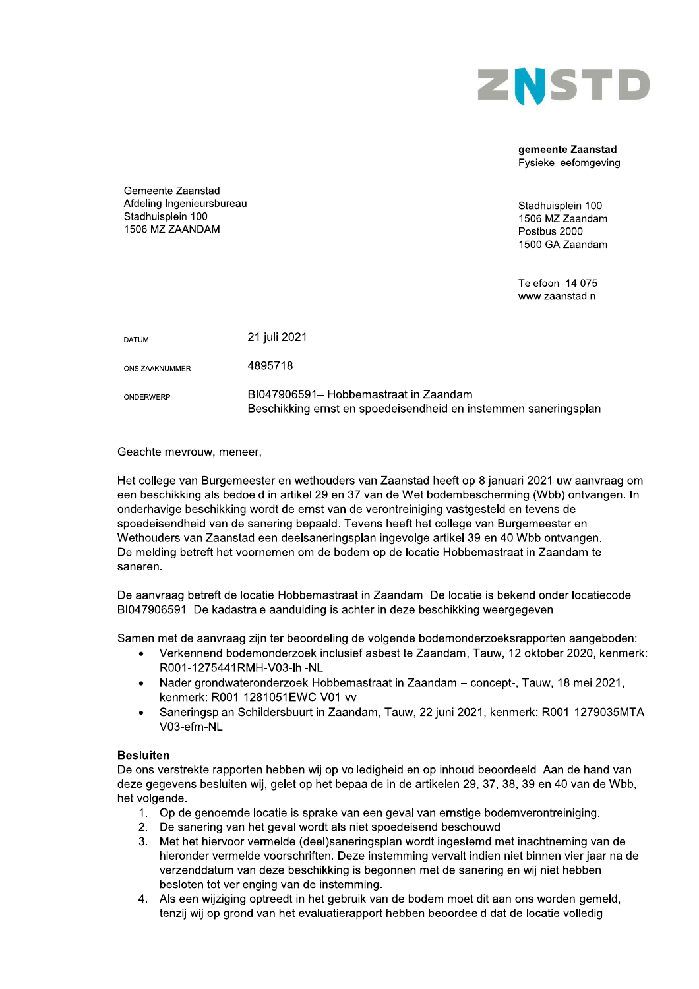

### gemeente Zaanstad Fysieke leefomgeving

Gemeente Zaanstad Afdeling Ingenieursbureau Stadhuisplein 100 1506 MZ ZAANDAM

Stadhuisplein 100 1506 MZ Zaandam Postbus 2000 1500 GA Zaandam

Telefoon 14 075 www.zaanstad.nl

| <b>DATUM</b>   | 21 juli 2021                                                                                             |
|----------------|----------------------------------------------------------------------------------------------------------|
| ONS ZAAKNUMMER | 4895718                                                                                                  |
| ONDERWERP      | BI047906591– Hobbemastraat in Zaandam<br>Beschikking ernst en spoedeisendheid en instemmen saneringsplan |

# Geachte mevrouw, meneer,

Het college van Burgemeester en wethouders van Zaanstad heeft op 8 januari 2021 uw aanvraag om een beschikking als bedoeld in artikel 29 en 37 van de Wet bodembescherming (Wbb) ontvangen. In onderhavige beschikking wordt de ernst van de verontreiniging vastgesteld en tevens de spoedeisendheid van de sanering bepaald. Tevens heeft het college van Burgemeester en Wethouders van Zaanstad een deelsaneringsplan ingevolge artikel 39 en 40 Wbb ontvangen. De melding betreft het voornemen om de bodem op de locatie Hobbemastraat in Zaandam te saneren.

De aanvraag betreft de locatie Hobbemastraat in Zaandam. De locatie is bekend onder locatiecode BI047906591. De kadastrale aanduiding is achter in deze beschikking weergegeven.

Samen met de aanvraag zijn ter beoordeling de volgende bodemonderzoeksrapporten aangeboden:

- Verkennend bodemonderzoek inclusief asbest te Zaandam, Tauw, 12 oktober 2020, kenmerk:  $\bullet$ R001-1275441RMH-V03-lhl-NL
- Nader grondwateronderzoek Hobbemastraat in Zaandam concept-, Tauw, 18 mei 2021,  $\bullet$ kenmerk: R001-1281051EWC-V01-vv
- Saneringsplan Schildersbuurt in Zaandam, Tauw, 22 juni 2021, kenmerk: R001-1279035MTA-V03-efm-NL

# **Resluiten**

De ons verstrekte rapporten hebben wij op volledigheid en op inhoud beoordeeld. Aan de hand van deze gegevens besluiten wij, gelet op het bepaalde in de artikelen 29, 37, 38, 39 en 40 van de Wbb, het volgende.

- 1. Op de genoemde locatie is sprake van een geval van ernstige bodemverontreiniging.
- 2. De sanering van het geval wordt als niet spoedeisend beschouwd.
- 3. Met het hiervoor vermelde (deel)saneringsplan wordt ingestemd met inachtneming van de hieronder vermelde voorschriften. Deze instemming vervalt indien niet binnen vier jaar na de verzenddatum van deze beschikking is begonnen met de sanering en wij niet hebben besloten tot verlenging van de instemming.
- 4. Als een wijziging optreedt in het gebruik van de bodem moet dit aan ons worden gemeld. tenzij wij op grond van het evaluatierapport hebben beoordeeld dat de locatie volledig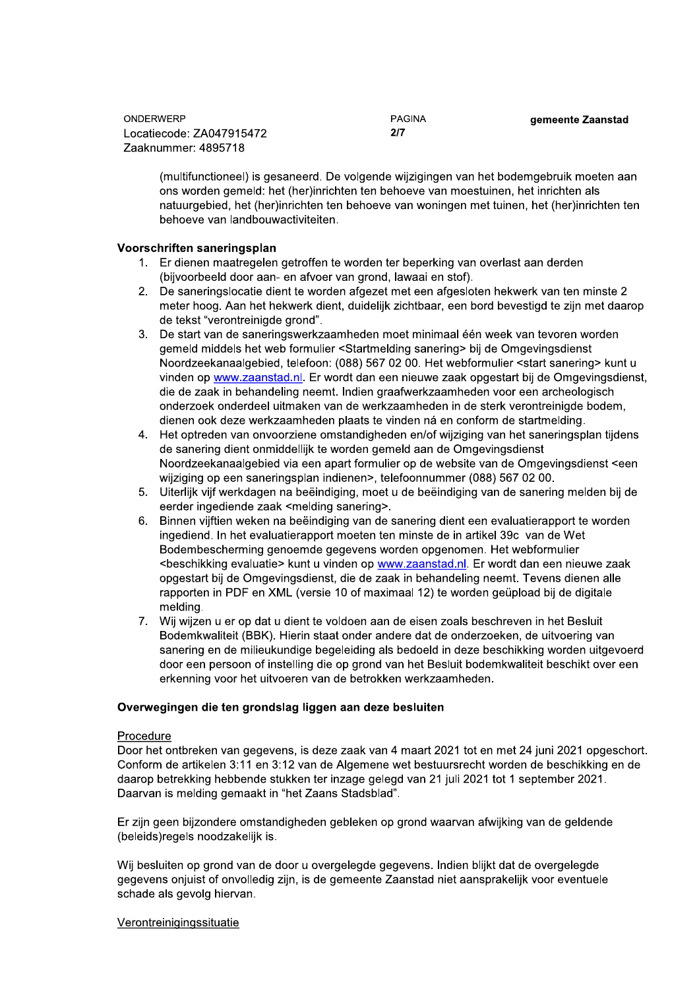PAGINA  $2/7$ 

gemeente Zaanstad

(multifunctioneel) is gesaneerd. De volgende wijzigingen van het bodemgebruik moeten aan ons worden gemeld: het (her)inrichten ten behoeve van moestuinen, het inrichten als natuurgebied, het (her)inrichten ten behoeve van woningen met tuinen, het (her)inrichten ten behoeve van landbouwactiviteiten.

# Voorschriften saneringsplan

- 1. Er dienen maatregelen getroffen te worden ter beperking van overlast aan derden (bijvoorbeeld door aan- en afvoer van grond, lawaai en stof).
- 2. De saneringslocatie dient te worden afgezet met een afgesloten hekwerk van ten minste 2 meter hoog. Aan het hekwerk dient, duidelijk zichtbaar, een bord bevestigd te zijn met daarop de tekst "verontreinigde grond".
- 3. De start van de saneringswerkzaamheden moet minimaal één week van tevoren worden gemeld middels het web formulier <Startmelding sanering> bij de Omgevingsdienst Noordzeekanaalgebied, telefoon: (088) 567 02 00. Het webformulier <start sanering> kunt u vinden op www.zaanstad.nl. Er wordt dan een nieuwe zaak opgestart bij de Omgevingsdienst, die de zaak in behandeling neemt. Indien graafwerkzaamheden voor een archeologisch onderzoek onderdeel uitmaken van de werkzaamheden in de sterk verontreinigde bodem. dienen ook deze werkzaamheden plaats te vinden ná en conform de startmelding.
- 4. Het optreden van onvoorziene omstandigheden en/of wijziging van het saneringsplan tijdens de sanering dient onmiddellijk te worden gemeld aan de Omgevingsdienst Noordzeekanaalgebied via een apart formulier op de website van de Omgevingsdienst <een wijziging op een saneringsplan indienen>, telefoonnummer (088) 567 02 00.
- 5. Uiterlijk vijf werkdagen na beëindiging, moet u de beëindiging van de sanering melden bij de eerder ingediende zaak <melding sanering>.
- 6. Binnen vijftien weken na beëindiging van de sanering dient een evaluatierapport te worden ingediend. In het evaluatierapport moeten ten minste de in artikel 39c van de Wet Bodembescherming genoemde gegevens worden opgenomen. Het webformulier <beschikking evaluatie> kunt u vinden op www.zaanstad.nl. Er wordt dan een nieuwe zaak opgestart bij de Omgevingsdienst, die de zaak in behandeling neemt. Tevens dienen alle rapporten in PDF en XML (versie 10 of maximaal 12) te worden geüpload bij de digitale meldina.
- 7. Wij wijzen u er op dat u dient te voldoen aan de eisen zoals beschreven in het Besluit Bodemkwaliteit (BBK). Hierin staat onder andere dat de onderzoeken, de uitvoering van sanering en de milieukundige begeleiding als bedoeld in deze beschikking worden uitgevoerd door een persoon of instelling die op grond van het Besluit bodemkwaliteit beschikt over een erkenning voor het uitvoeren van de betrokken werkzaamheden.

# Overwegingen die ten grondslag liggen aan deze besluiten

## Procedure

Door het ontbreken van gegevens, is deze zaak van 4 maart 2021 tot en met 24 juni 2021 opgeschort. Conform de artikelen 3:11 en 3:12 van de Algemene wet bestuursrecht worden de beschikking en de daarop betrekking hebbende stukken ter inzage gelegd van 21 juli 2021 tot 1 september 2021. Daarvan is melding gemaakt in "het Zaans Stadsblad".

Er zijn geen bijzondere omstandigheden gebleken op grond waarvan afwijking van de geldende (beleids) regels noodzakelijk is.

Wij besluiten op grond van de door u overgelegde gegevens. Indien blijkt dat de overgelegde gegevens onjuist of onvolledig zijn, is de gemeente Zaanstad niet aansprakelijk voor eventuele schade als gevolg hiervan.

## Verontreinigingssituatie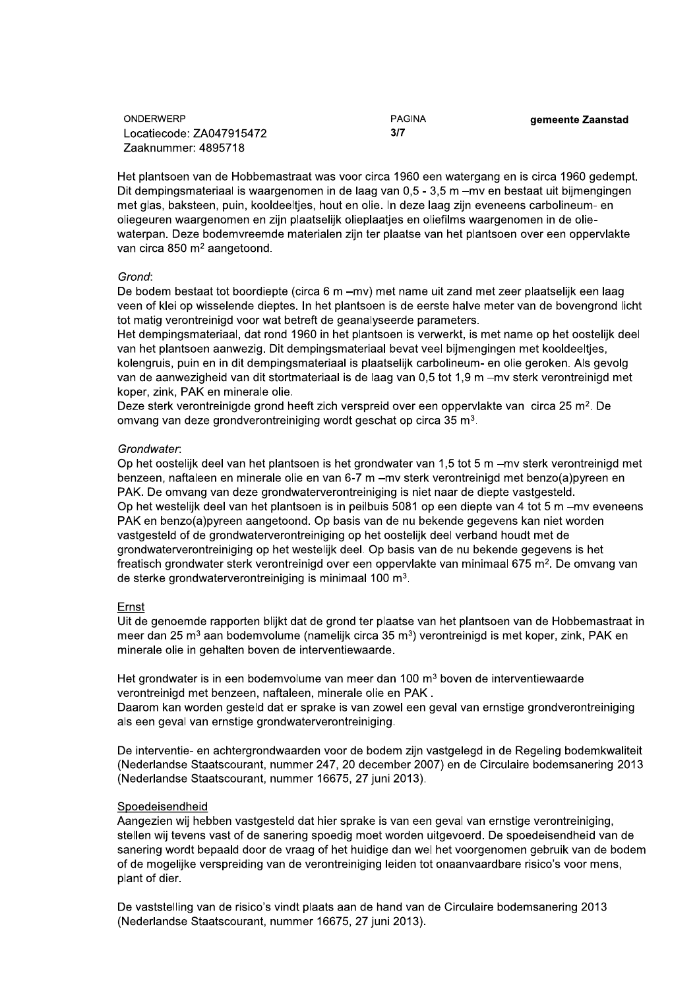PAGINA  $3/7$ 

gemeente Zaanstad

Het plantsoen van de Hobbemastraat was voor circa 1960 een watergang en is circa 1960 gedempt. Dit dempingsmateriaal is waargenomen in de laag van 0,5 - 3,5 m - mv en bestaat uit bijmengingen met glas, baksteen, puin, kooldeeltjes, hout en olie. In deze laag zijn eveneens carbolineum- en oliegeuren waargenomen en zijn plaatselijk olieplaatjes en oliefilms waargenomen in de oliewaterpan. Deze bodemvreemde materialen zijn ter plaatse van het plantsoen over een oppervlakte van circa 850 m<sup>2</sup> aangetoond.

## Grond:

De bodem bestaat tot boordiepte (circa 6 m -mv) met name uit zand met zeer plaatselijk een laag veen of klei op wisselende dieptes. In het plantsoen is de eerste halve meter van de bovengrond licht tot matig verontreinigd voor wat betreft de geanalyseerde parameters.

Het dempingsmateriaal, dat rond 1960 in het plantsoen is verwerkt, is met name op het oostelijk deel van het plantsoen aanwezig. Dit dempingsmateriaal bevat veel bijmengingen met kooldeeltjes, kolengruis, puin en in dit dempingsmateriaal is plaatselijk carbolineum- en olie geroken. Als gevolg van de aanwezigheid van dit stortmateriaal is de laag van 0,5 tot 1,9 m - mv sterk verontreinigd met koper, zink, PAK en minerale olie.

Deze sterk verontreinigde grond heeft zich verspreid over een oppervlakte van circa 25 m<sup>2</sup>. De omvang van deze grondverontreiniging wordt geschat op circa 35 m<sup>3</sup>.

### Grondwater:

Op het oostelijk deel van het plantsoen is het grondwater van 1,5 tot 5 m - mv sterk verontreinigd met benzeen, naftaleen en minerale olie en van 6-7 m - mv sterk verontreinigd met benzo(a) pyreen en PAK. De omvang van deze grondwaterverontreiniging is niet naar de diepte vastgesteld. Op het westelijk deel van het plantsoen is in peilbuis 5081 op een diepte van 4 tot 5 m - mv eveneens PAK en benzo(a)pyreen aangetoond. Op basis van de nu bekende gegevens kan niet worden vastgesteld of de grondwaterverontreiniging op het oostelijk deel verband houdt met de grondwaterverontreiniging op het westelijk deel. Op basis van de nu bekende gegevens is het freatisch grondwater sterk verontreinigd over een oppervlakte van minimaal 675 m<sup>2</sup>. De omvang van de sterke grondwaterverontreiniging is minimaal 100 m<sup>3</sup>.

### Ernst

Uit de genoemde rapporten blijkt dat de grond ter plaatse van het plantsoen van de Hobbemastraat in meer dan 25 m<sup>3</sup> aan bodemvolume (namelijk circa 35 m<sup>3</sup>) verontreinigd is met koper, zink, PAK en minerale olie in gehalten boven de interventiewaarde.

Het grondwater is in een bodemvolume van meer dan 100 m<sup>3</sup> boven de interventiewaarde verontreinigd met benzeen, naftaleen, minerale olie en PAK.

Daarom kan worden gesteld dat er sprake is van zowel een geval van ernstige grondverontreiniging als een geval van ernstige grondwaterverontreiniging.

De interventie- en achtergrondwaarden voor de bodem zijn vastgelegd in de Regeling bodemkwaliteit (Nederlandse Staatscourant, nummer 247, 20 december 2007) en de Circulaire bodemsanering 2013 (Nederlandse Staatscourant, nummer 16675, 27 juni 2013).

### Spoedeisendheid

Aangezien wij hebben vastgesteld dat hier sprake is van een geval van ernstige verontreiniging. stellen wij tevens vast of de sanering spoedig moet worden uitgevoerd. De spoedeisendheid van de sanering wordt bepaald door de vraag of het huidige dan wel het voorgenomen gebruik van de bodem of de mogelijke verspreiding van de verontreiniging leiden tot onaanvaardbare risico's voor mens, plant of dier.

De vaststelling van de risico's vindt plaats aan de hand van de Circulaire bodemsanering 2013 (Nederlandse Staatscourant, nummer 16675, 27 juni 2013).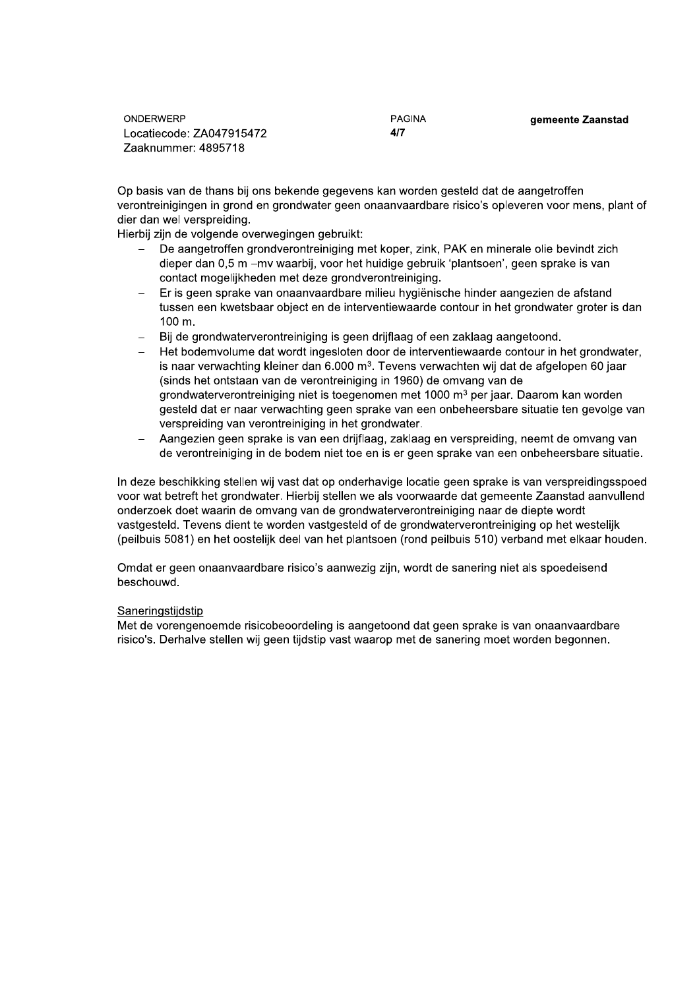**PAGINA**  $4/7$ 

gemeente Zaanstad

Op basis van de thans bij ons bekende gegevens kan worden gesteld dat de aangetroffen verontreinigingen in grond en grondwater geen onaanvaardbare risico's opleveren voor mens, plant of dier dan wel verspreiding.

Hierbij zijn de volgende overwegingen gebruikt:

- De aangetroffen grondverontreiniging met koper, zink, PAK en minerale olie bevindt zich dieper dan 0,5 m - mv waarbij, voor het huidige gebruik 'plantsoen', geen sprake is van contact mogelijkheden met deze grondverontreiniging.
- Er is geen sprake van onaanvaardbare milieu hygiënische hinder aangezien de afstand tussen een kwetsbaar object en de interventiewaarde contour in het grondwater groter is dan 100 m.
- Bij de grondwaterverontreiniging is geen drijflaag of een zaklaag aangetoond.
- Het bodemvolume dat wordt ingesloten door de interventiewaarde contour in het grondwater, is naar verwachting kleiner dan 6.000 m<sup>3</sup>. Tevens verwachten wij dat de afgelopen 60 jaar (sinds het ontstaan van de verontreiniging in 1960) de omvang van de grondwaterverontreiniging niet is toegenomen met 1000 m<sup>3</sup> per jaar. Daarom kan worden gesteld dat er naar verwachting geen sprake van een onbeheersbare situatie ten gevolge van verspreiding van verontreiniging in het grondwater.
- Aangezien geen sprake is van een driiflaag. zaklaag en verspreiding, neemt de omvang van de verontreiniging in de bodem niet toe en is er geen sprake van een onbeheersbare situatie.

In deze beschikking stellen wij vast dat op onderhavige locatie geen sprake is van verspreidingsspoed voor wat betreft het grondwater. Hierbij stellen we als voorwaarde dat gemeente Zaanstad aanvullend onderzoek doet waarin de omvang van de grondwaterverontreiniging naar de diepte wordt vastgesteld. Tevens dient te worden vastgesteld of de grondwaterverontreiniging op het westelijk (peilbuis 5081) en het oostelijk deel van het plantsoen (rond peilbuis 510) verband met elkaar houden.

Omdat er geen onaanvaardbare risico's aanwezig zijn, wordt de sanering niet als spoedeisend beschouwd.

## Saneringstiidstip

Met de vorengenoemde risicobeoordeling is aangetoond dat geen sprake is van onaanvaardbare risico's. Derhalve stellen wij geen tijdstip vast waarop met de sanering moet worden begonnen.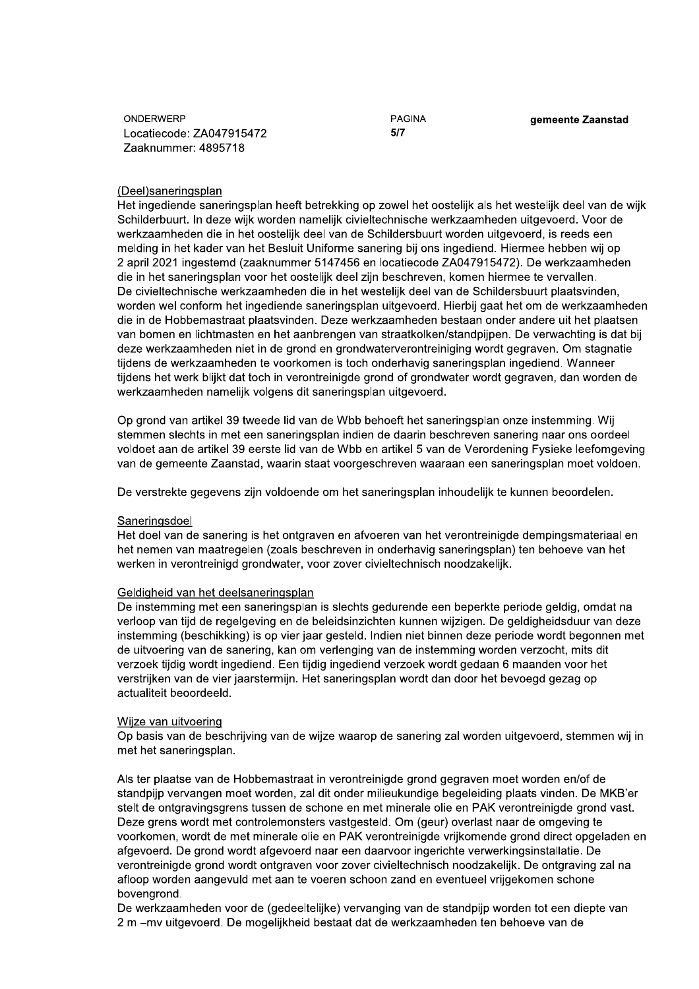PAGINA  $5/7$ 

gemeente Zaanstad

## (Deel)saneringsplan

Het ingediende saneringsplan heeft betrekking op zowel het oostelijk als het westelijk deel van de wijk Schilderbuurt. In deze wijk worden namelijk civieltechnische werkzaamheden uitgevoerd. Voor de werkzaamheden die in het oostelijk deel van de Schildersbuurt worden uitgevoerd, is reeds een melding in het kader van het Besluit Uniforme sanering bij ons ingediend. Hiermee hebben wij op 2 april 2021 ingestemd (zaaknummer 5147456 en locatiecode ZA047915472). De werkzaamheden die in het saneringsplan voor het oostelijk deel zijn beschreven, komen hiermee te vervallen. De civieltechnische werkzaamheden die in het westelijk deel van de Schildersbuurt plaatsvinden, worden wel conform het ingediende saneringsplan uitgevoerd. Hierbij gaat het om de werkzaamheden die in de Hobbemastraat plaatsvinden. Deze werkzaamheden bestaan onder andere uit het plaatsen van bomen en lichtmasten en het aanbrengen van straatkolken/standpijpen. De verwachting is dat bij deze werkzaamheden niet in de grond en grondwaterverontreiniging wordt gegraven. Om stagnatie tijdens de werkzaamheden te voorkomen is toch onderhavig saneringsplan ingediend. Wanneer tijdens het werk blijkt dat toch in verontreinigde grond of grondwater wordt gegraven, dan worden de werkzaamheden namelijk volgens dit saneringsplan uitgevoerd.

Op grond van artikel 39 tweede lid van de Wbb behoeft het saneringsplan onze instemming. Wij stemmen slechts in met een saneringsplan indien de daarin beschreven sanering naar ons oordeel voldoet aan de artikel 39 eerste lid van de Wbb en artikel 5 van de Verordening Fysieke leefomgeving van de gemeente Zaanstad, waarin staat voorgeschreven waaraan een saneringsplan moet voldoen.

De verstrekte gegevens zijn voldoende om het saneringsplan inhoudelijk te kunnen beoordelen.

## Saneringsdoel

Het doel van de sanering is het ontgraven en afvoeren van het verontreinigde dempingsmateriaal en het nemen van maatregelen (zoals beschreven in onderhavig saneringsplan) ten behoeve van het werken in verontreinigd grondwater, voor zover civieltechnisch noodzakelijk.

### Geldigheid van het deelsaneringsplan

De instemming met een saneringsplan is slechts gedurende een beperkte periode geldig, omdat na verloop van tijd de regelgeving en de beleidsinzichten kunnen wijzigen. De geldigheidsduur van deze instemming (beschikking) is op vier jaar gesteld. Indien niet binnen deze periode wordt begonnen met de uitvoering van de sanering, kan om verlenging van de instemming worden verzocht, mits dit verzoek tijdig wordt ingediend. Een tijdig ingediend verzoek wordt gedaan 6 maanden voor het verstrijken van de vier jaarstermijn. Het saneringsplan wordt dan door het bevoegd gezag op actualiteit beoordeeld.

### Wijze van uitvoering

Op basis van de beschrijving van de wijze waarop de sanering zal worden uitgevoerd, stemmen wij in met het saneringsplan.

Als ter plaatse van de Hobbemastraat in verontreinigde grond gegraven moet worden en/of de standpijp vervangen moet worden, zal dit onder milieukundige begeleiding plaats vinden. De MKB'er stelt de ontgravingsgrens tussen de schone en met minerale olie en PAK verontreinigde grond vast. Deze grens wordt met controlemonsters vastgesteld. Om (geur) overlast naar de omgeving te voorkomen, wordt de met minerale olie en PAK verontreinigde vrijkomende grond direct opgeladen en afgevoerd. De grond wordt afgevoerd naar een daarvoor ingerichte verwerkingsinstallatie. De verontreinigde grond wordt ontgraven voor zover civieltechnisch noodzakelijk. De ontgraving zal na afloop worden aangevuld met aan te voeren schoon zand en eventueel vrijgekomen schone bovengrond.

De werkzaamheden voor de (gedeeltelijke) vervanging van de standpijp worden tot een diepte van 2 m - my uitgevoerd. De mogelijkheid bestaat dat de werkzaamheden ten behoeve van de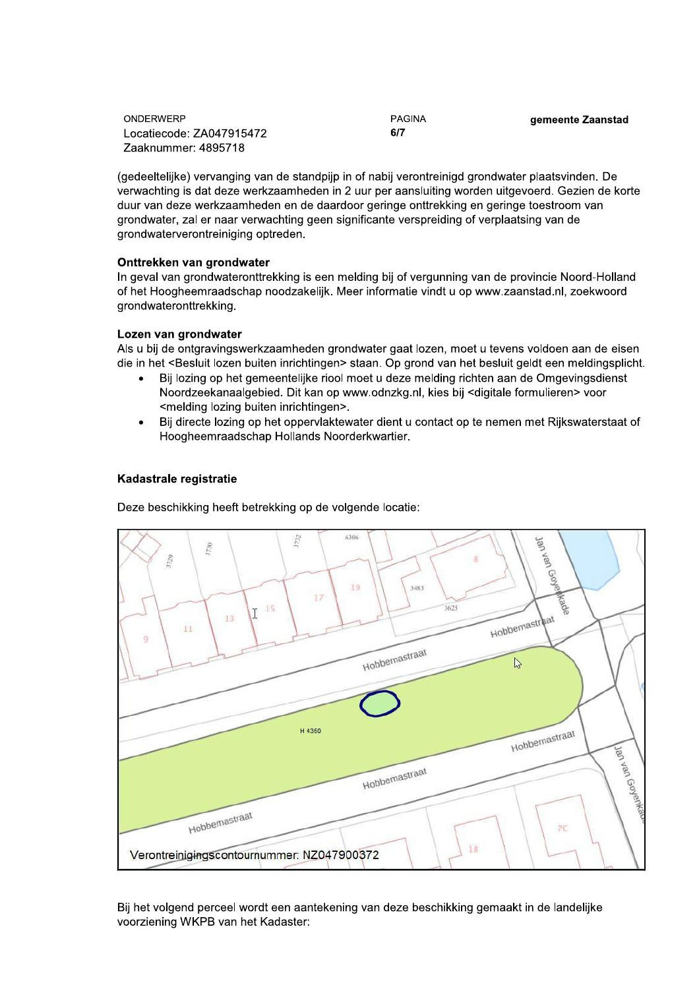**PAGINA**  $6/7$ 

gemeente Zaanstad

(gedeeltelijke) vervanging van de standpijp in of nabij verontreinigd grondwater plaatsvinden. De verwachting is dat deze werkzaamheden in 2 uur per aansluiting worden uitgevoerd. Gezien de korte duur van deze werkzaamheden en de daardoor geringe onttrekking en geringe toestroom van grondwater, zal er naar verwachting geen significante verspreiding of verplaatsing van de grondwaterverontreiniging optreden.

# Onttrekken van grondwater

In geval van grondwateronttrekking is een melding bij of vergunning van de provincie Noord-Holland of het Hoogheemraadschap noodzakelijk. Meer informatie vindt u op www.zaanstad.nl, zoekwoord grondwateronttrekking.

# Lozen van grondwater

Als u bij de ontgravingswerkzaamheden grondwater gaat lozen, moet u tevens voldoen aan de eisen die in het <Besluit lozen buiten inrichtingen> staan. Op grond van het besluit geldt een meldingsplicht.

- Bij lozing op het gemeentelijke riool moet u deze melding richten aan de Omgevingsdienst Noordzeekanaalgebied. Dit kan op www.odnzkg.nl, kies bij <digitale formulieren> voor <melding lozing buiten inrichtingen>.
- Bij directe lozing op het oppervlaktewater dient u contact op te nemen met Rijkswaterstaat of Hoogheemraadschap Hollands Noorderkwartier.

# Kadastrale registratie

Deze beschikking heeft betrekking op de volgende locatie:



Bij het volgend perceel wordt een aantekening van deze beschikking gemaakt in de landelijke voorziening WKPB van het Kadaster: